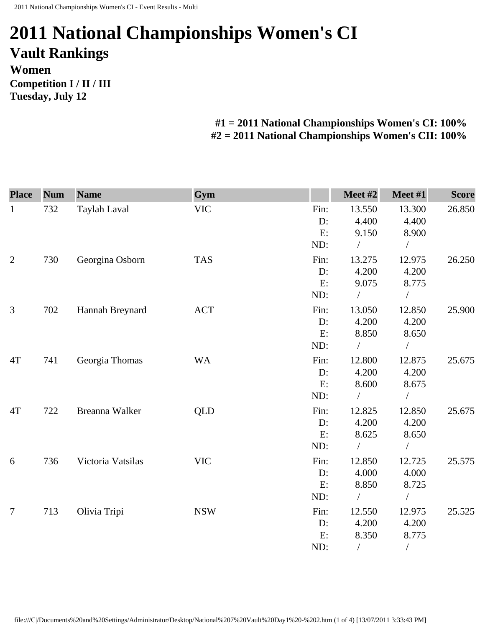## **2011 National Championships Women's CI Vault Rankings Women Competition I / II / III Tuesday, July 12**

## **#1 = 2011 National Championships Women's CI: 100% #2 = 2011 National Championships Women's CII: 100%**

| <b>Place</b>   | <b>Num</b> | <b>Name</b>       | Gym        |       | Meet #2    | Meet #1        | <b>Score</b> |
|----------------|------------|-------------------|------------|-------|------------|----------------|--------------|
| $\mathbf{1}$   | 732        | Taylah Laval      | <b>VIC</b> | Fin:  | 13.550     | 13.300         | 26.850       |
|                |            |                   |            | D:    | 4.400      | 4.400          |              |
|                |            |                   |            | E:    | 9.150      | 8.900          |              |
|                |            |                   |            | ND:   | $\sqrt{2}$ | $\sqrt{2}$     |              |
| $\overline{2}$ | 730        | Georgina Osborn   | <b>TAS</b> | Fin:  | 13.275     | 12.975         | 26.250       |
|                |            |                   |            | D:    | 4.200      | 4.200          |              |
|                |            |                   |            | E:    | 9.075      | 8.775          |              |
|                |            |                   |            | ND:   | $\sqrt{2}$ | $\sqrt{2}$     |              |
| 3              | 702        | Hannah Breynard   | <b>ACT</b> | Fin:  | 13.050     | 12.850         | 25.900       |
|                |            |                   |            | D:    | 4.200      | 4.200          |              |
|                |            |                   |            | E:    | 8.850      | 8.650          |              |
|                |            |                   |            | ND:   | $\sqrt{2}$ | $\sqrt{2}$     |              |
| 4T             | 741        | Georgia Thomas    | <b>WA</b>  | Fin:  | 12.800     | 12.875         | 25.675       |
|                |            |                   |            | $D$ : | 4.200      | 4.200          |              |
|                |            |                   |            | E:    | 8.600      | 8.675          |              |
|                |            |                   |            | ND:   |            | $\sqrt{2}$     |              |
| 4T             | 722        | Breanna Walker    | <b>QLD</b> | Fin:  | 12.825     | 12.850         | 25.675       |
|                |            |                   |            | $D$ : | 4.200      | 4.200          |              |
|                |            |                   |            | E:    | 8.625      | 8.650          |              |
|                |            |                   |            | ND:   |            |                |              |
| 6              | 736        | Victoria Vatsilas | <b>VIC</b> | Fin:  | 12.850     | 12.725         | 25.575       |
|                |            |                   |            | D:    | 4.000      | 4.000          |              |
|                |            |                   |            | E:    | 8.850      | 8.725          |              |
|                |            |                   |            | ND:   |            | $\sqrt{2}$     |              |
| $\tau$         | 713        | Olivia Tripi      | <b>NSW</b> | Fin:  | 12.550     | 12.975         | 25.525       |
|                |            |                   |            | D:    | 4.200      | 4.200          |              |
|                |            |                   |            | E:    | 8.350      | 8.775          |              |
|                |            |                   |            | ND:   | $\sqrt{2}$ | $\overline{ }$ |              |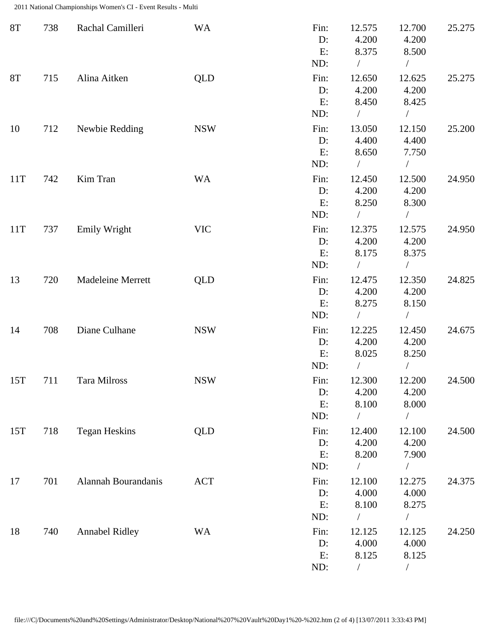2011 National Championships Women's CI - Event Results - Multi

| <b>8T</b> | 738 | Rachal Camilleri      | <b>WA</b>  | Fin:<br>D:<br>E:<br>ND:    | 12.575<br>4.200<br>8.375<br>$\sqrt{2}$    | 12.700<br>4.200<br>8.500<br>$\sqrt{2}$ | 25.275 |
|-----------|-----|-----------------------|------------|----------------------------|-------------------------------------------|----------------------------------------|--------|
| <b>8T</b> | 715 | Alina Aitken          | <b>QLD</b> | Fin:<br>D:<br>E:<br>ND:    | 12.650<br>4.200<br>8.450                  | 12.625<br>4.200<br>8.425<br>$\sqrt{2}$ | 25.275 |
| 10        | 712 | Newbie Redding        | <b>NSW</b> | Fin:<br>D:<br>E:<br>ND:    | 13.050<br>4.400<br>8.650<br>$\sqrt{2}$    | 12.150<br>4.400<br>7.750<br>$\sqrt{2}$ | 25.200 |
| 11T       | 742 | Kim Tran              | <b>WA</b>  | Fin:<br>D:<br>E:<br>ND:    | 12.450<br>4.200<br>8.250<br>$\sqrt{2}$    | 12.500<br>4.200<br>8.300<br>$\sqrt{2}$ | 24.950 |
| 11T       | 737 | <b>Emily Wright</b>   | <b>VIC</b> | Fin:<br>D:<br>E:<br>ND:    | 12.375<br>4.200<br>8.175<br>$\bigg)$      | 12.575<br>4.200<br>8.375<br>$\sqrt{2}$ | 24.950 |
| 13        | 720 | Madeleine Merrett     | <b>QLD</b> | Fin:<br>D:<br>E:<br>ND:    | 12.475<br>4.200<br>8.275<br>$\bigg)$      | 12.350<br>4.200<br>8.150<br>$\sqrt{2}$ | 24.825 |
| 14        | 708 | Diane Culhane         | <b>NSW</b> | Fin:<br>D:<br>E:<br>ND:    | 12.225<br>4.200<br>8.025                  | 12.450<br>4.200<br>8.250               | 24.675 |
| 15T       | 711 | Tara Milross          | <b>NSW</b> | Fin:<br>D:<br>E:<br>ND:    | 12.300<br>4.200<br>8.100<br>$\sqrt{2}$    | 12.200<br>4.200<br>8.000<br>$\sqrt{2}$ | 24.500 |
| 15T       | 718 | <b>Tegan Heskins</b>  | QLD        | Fin:<br>$D$ :<br>E:<br>ND: | 12.400<br>4.200<br>8.200<br>$\sqrt{2}$    | 12.100<br>4.200<br>7.900               | 24.500 |
| 17        | 701 | Alannah Bourandanis   | <b>ACT</b> | Fin:<br>$D$ :<br>E:<br>ND: | 12.100<br>4.000<br>8.100<br>$\frac{1}{2}$ | 12.275<br>4.000<br>8.275<br>$\sqrt{2}$ | 24.375 |
| 18        | 740 | <b>Annabel Ridley</b> | <b>WA</b>  | Fin:<br>D:<br>E:<br>ND:    | 12.125<br>4.000<br>8.125                  | 12.125<br>4.000<br>8.125<br>$\sqrt{2}$ | 24.250 |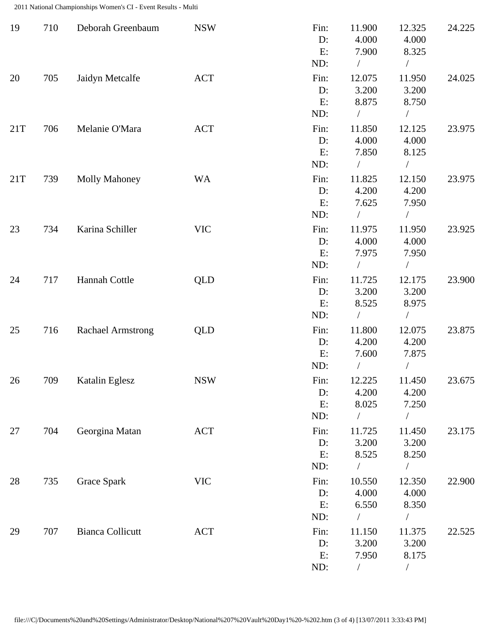2011 National Championships Women's CI - Event Results - Multi

| 19  | 710 | Deborah Greenbaum        | <b>NSW</b> | Fin:<br>D:<br>E:<br>ND:    | 11.900<br>4.000<br>7.900<br>$\sqrt{2}$    | 12.325<br>4.000<br>8.325<br>$\sqrt{2}$    | 24.225 |
|-----|-----|--------------------------|------------|----------------------------|-------------------------------------------|-------------------------------------------|--------|
| 20  | 705 | Jaidyn Metcalfe          | <b>ACT</b> | Fin:<br>$D$ :<br>E:<br>ND: | 12.075<br>3.200<br>8.875<br>$\frac{1}{2}$ | 11.950<br>3.200<br>8.750<br>$\sqrt{2}$    | 24.025 |
| 21T | 706 | Melanie O'Mara           | <b>ACT</b> | Fin:<br>D:<br>E:<br>ND:    | 11.850<br>4.000<br>7.850<br>$\sqrt{2}$    | 12.125<br>4.000<br>8.125<br>$\sqrt{2}$    | 23.975 |
| 21T | 739 | <b>Molly Mahoney</b>     | <b>WA</b>  | Fin:<br>$D$ :<br>E:<br>ND: | 11.825<br>4.200<br>7.625<br>$\frac{1}{2}$ | 12.150<br>4.200<br>7.950<br>$\frac{1}{2}$ | 23.975 |
| 23  | 734 | Karina Schiller          | <b>VIC</b> | Fin:<br>$D$ :<br>E:<br>ND: | 11.975<br>4.000<br>7.975<br>$\sqrt{2}$    | 11.950<br>4.000<br>7.950<br>$\sqrt{2}$    | 23.925 |
| 24  | 717 | Hannah Cottle            | <b>QLD</b> | Fin:<br>$D$ :<br>E:<br>ND: | 11.725<br>3.200<br>8.525                  | 12.175<br>3.200<br>8.975<br>$\sqrt{2}$    | 23.900 |
| 25  | 716 | <b>Rachael Armstrong</b> | <b>QLD</b> | Fin:<br>$D$ :<br>E:<br>ND: | 11.800<br>4.200<br>7.600                  | 12.075<br>4.200<br>7.875                  | 23.875 |
| 26  | 709 | Katalin Eglesz           | <b>NSW</b> | Fin:<br>D:<br>E:<br>ND:    | 12.225<br>4.200<br>8.025<br>$\sqrt{2}$    | 11.450<br>4.200<br>7.250                  | 23.675 |
| 27  | 704 | Georgina Matan           | ACT        | Fin:<br>$D$ :<br>E:<br>ND: | 11.725<br>3.200<br>8.525                  | 11.450<br>3.200<br>8.250                  | 23.175 |
| 28  | 735 | Grace Spark              | <b>VIC</b> | Fin:<br>D:<br>E:<br>ND:    | 10.550<br>4.000<br>6.550                  | 12.350<br>4.000<br>8.350<br>$\sqrt{2}$    | 22.900 |
| 29  | 707 | <b>Bianca Collicutt</b>  | <b>ACT</b> | Fin:<br>D:<br>E:<br>ND:    | 11.150<br>3.200<br>7.950                  | 11.375<br>3.200<br>8.175                  | 22.525 |